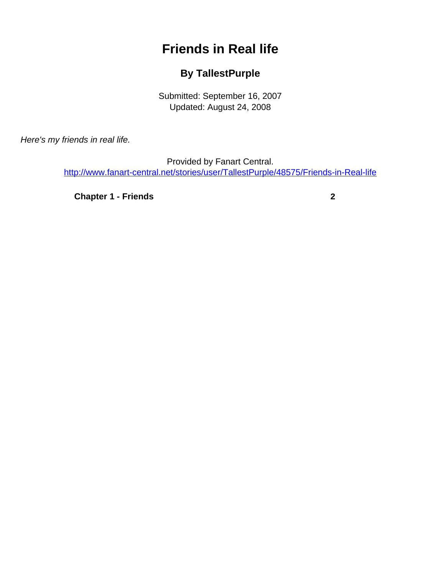# **Friends in Real life**

### **By TallestPurple**

Submitted: September 16, 2007 Updated: August 24, 2008

<span id="page-0-0"></span>Here's my friends in real life.

Provided by Fanart Central. [http://www.fanart-central.net/stories/user/TallestPurple/48575/Friends-in-Real-life](#page-0-0)

**[Chapter 1 - Friends](#page-1-0) [2](#page-1-0)**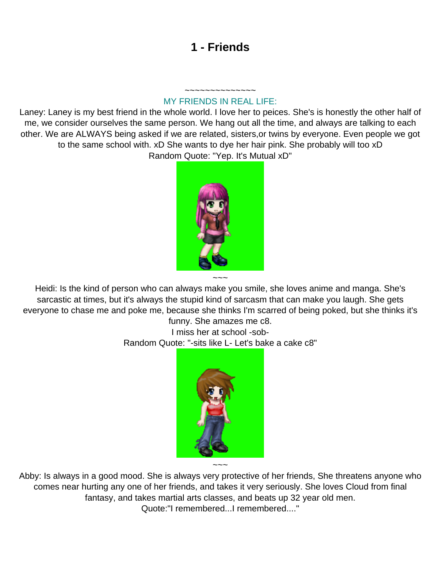## **1 - Friends**

#### ~~~~~~~~~~~~~~ MY FRIENDS IN REAL LIFE:

<span id="page-1-0"></span>Laney: Laney is my best friend in the whole world. I love her to peices. She's is honestly the other half of me, we consider ourselves the same person. We hang out all the time, and always are talking to each other. We are ALWAYS being asked if we are related, sisters,or twins by everyone. Even people we got to the same school with. xD She wants to dye her hair pink. She probably will too xD Random Quote: "Yep. It's Mutual xD"



Heidi: Is the kind of person who can always make you smile, she loves anime and manga. She's sarcastic at times, but it's always the stupid kind of sarcasm that can make you laugh. She gets everyone to chase me and poke me, because she thinks I'm scarred of being poked, but she thinks it's

funny. She amazes me c8. I miss her at school -sob-Random Quote: "-sits like L- Let's bake a cake c8"



Abby: Is always in a good mood. She is always very protective of her friends, She threatens anyone who comes near hurting any one of her friends, and takes it very seriously. She loves Cloud from final fantasy, and takes martial arts classes, and beats up 32 year old men. Quote:"I remembered...I remembered...."